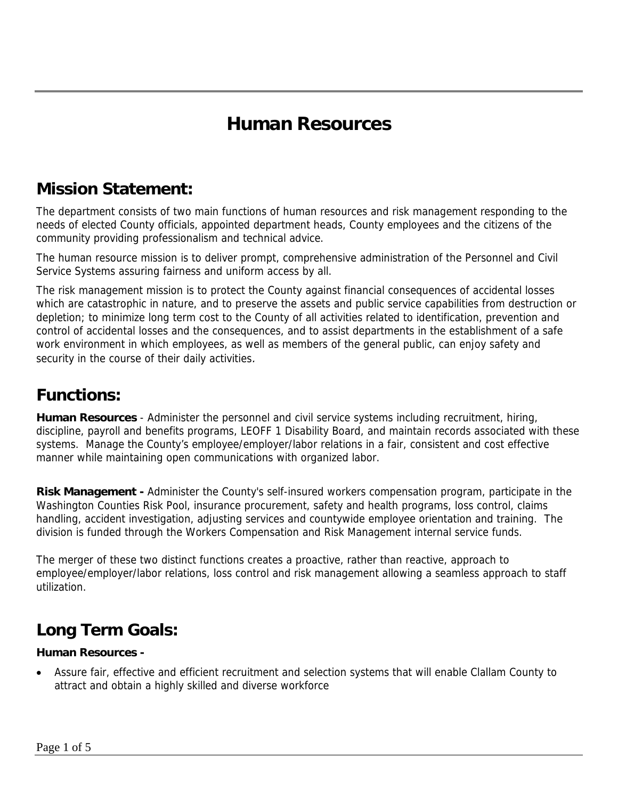## **Human Resources**

#### **Mission Statement:**

The department consists of two main functions of human resources and risk management responding to the needs of elected County officials, appointed department heads, County employees and the citizens of the community providing professionalism and technical advice.

The human resource mission is to deliver prompt, comprehensive administration of the Personnel and Civil Service Systems assuring fairness and uniform access by all.

The risk management mission is to protect the County against financial consequences of accidental losses which are catastrophic in nature, and to preserve the assets and public service capabilities from destruction or depletion; to minimize long term cost to the County of all activities related to identification, prevention and control of accidental losses and the consequences, and to assist departments in the establishment of a safe work environment in which employees, as well as members of the general public, can enjoy safety and security in the course of their daily activities.

### **Functions:**

**Human Resources** - Administer the personnel and civil service systems including recruitment, hiring, discipline, payroll and benefits programs, LEOFF 1 Disability Board, and maintain records associated with these systems. Manage the County's employee/employer/labor relations in a fair, consistent and cost effective manner while maintaining open communications with organized labor.

**Risk Management -** Administer the County's self-insured workers compensation program, participate in the Washington Counties Risk Pool, insurance procurement, safety and health programs, loss control, claims handling, accident investigation, adjusting services and countywide employee orientation and training. The division is funded through the Workers Compensation and Risk Management internal service funds.

The merger of these two distinct functions creates a proactive, rather than reactive, approach to employee/employer/labor relations, loss control and risk management allowing a seamless approach to staff utilization.

## **Long Term Goals:**

#### **Human Resources -**

• Assure fair, effective and efficient recruitment and selection systems that will enable Clallam County to attract and obtain a highly skilled and diverse workforce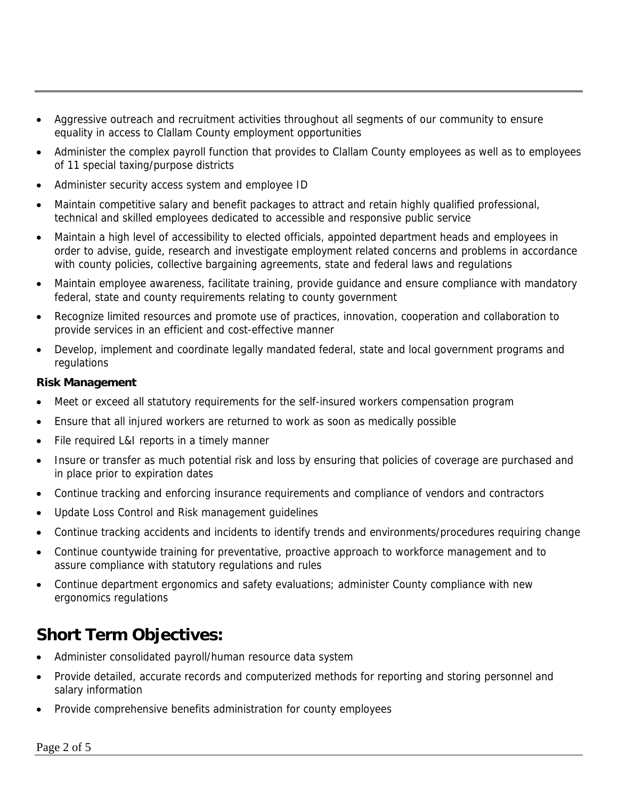- Aggressive outreach and recruitment activities throughout all segments of our community to ensure equality in access to Clallam County employment opportunities
- Administer the complex payroll function that provides to Clallam County employees as well as to employees of 11 special taxing/purpose districts
- Administer security access system and employee ID
- Maintain competitive salary and benefit packages to attract and retain highly qualified professional, technical and skilled employees dedicated to accessible and responsive public service
- Maintain a high level of accessibility to elected officials, appointed department heads and employees in order to advise, guide, research and investigate employment related concerns and problems in accordance with county policies, collective bargaining agreements, state and federal laws and regulations
- Maintain employee awareness, facilitate training, provide guidance and ensure compliance with mandatory federal, state and county requirements relating to county government
- Recognize limited resources and promote use of practices, innovation, cooperation and collaboration to provide services in an efficient and cost-effective manner
- Develop, implement and coordinate legally mandated federal, state and local government programs and regulations

#### **Risk Management**

- Meet or exceed all statutory requirements for the self-insured workers compensation program
- Ensure that all injured workers are returned to work as soon as medically possible
- File required L&I reports in a timely manner
- Insure or transfer as much potential risk and loss by ensuring that policies of coverage are purchased and in place prior to expiration dates
- Continue tracking and enforcing insurance requirements and compliance of vendors and contractors
- Update Loss Control and Risk management guidelines
- Continue tracking accidents and incidents to identify trends and environments/procedures requiring change
- Continue countywide training for preventative, proactive approach to workforce management and to assure compliance with statutory regulations and rules
- Continue department ergonomics and safety evaluations; administer County compliance with new ergonomics regulations

### **Short Term Objectives:**

- Administer consolidated payroll/human resource data system
- Provide detailed, accurate records and computerized methods for reporting and storing personnel and salary information
- Provide comprehensive benefits administration for county employees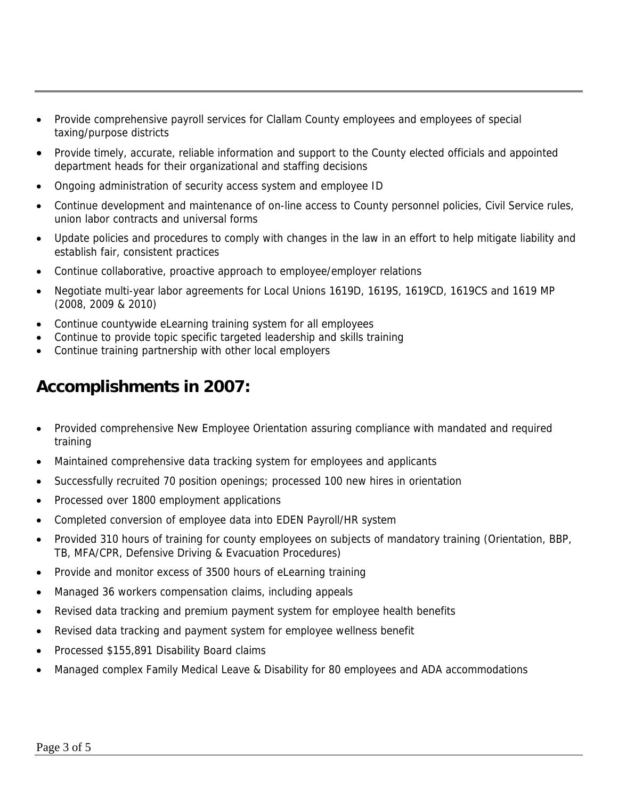- Provide comprehensive payroll services for Clallam County employees and employees of special taxing/purpose districts
- Provide timely, accurate, reliable information and support to the County elected officials and appointed department heads for their organizational and staffing decisions
- Ongoing administration of security access system and employee ID
- Continue development and maintenance of on-line access to County personnel policies, Civil Service rules, union labor contracts and universal forms
- Update policies and procedures to comply with changes in the law in an effort to help mitigate liability and establish fair, consistent practices
- Continue collaborative, proactive approach to employee/employer relations
- Negotiate multi-year labor agreements for Local Unions 1619D, 1619S, 1619CD, 1619CS and 1619 MP (2008, 2009 & 2010)
- Continue countywide eLearning training system for all employees
- Continue to provide topic specific targeted leadership and skills training
- Continue training partnership with other local employers

## **Accomplishments in 2007:**

- Provided comprehensive New Employee Orientation assuring compliance with mandated and required training
- Maintained comprehensive data tracking system for employees and applicants
- Successfully recruited 70 position openings; processed 100 new hires in orientation
- Processed over 1800 employment applications
- Completed conversion of employee data into EDEN Payroll/HR system
- Provided 310 hours of training for county employees on subjects of mandatory training (Orientation, BBP, TB, MFA/CPR, Defensive Driving & Evacuation Procedures)
- Provide and monitor excess of 3500 hours of eLearning training
- Managed 36 workers compensation claims, including appeals
- Revised data tracking and premium payment system for employee health benefits
- Revised data tracking and payment system for employee wellness benefit
- Processed \$155,891 Disability Board claims
- Managed complex Family Medical Leave & Disability for 80 employees and ADA accommodations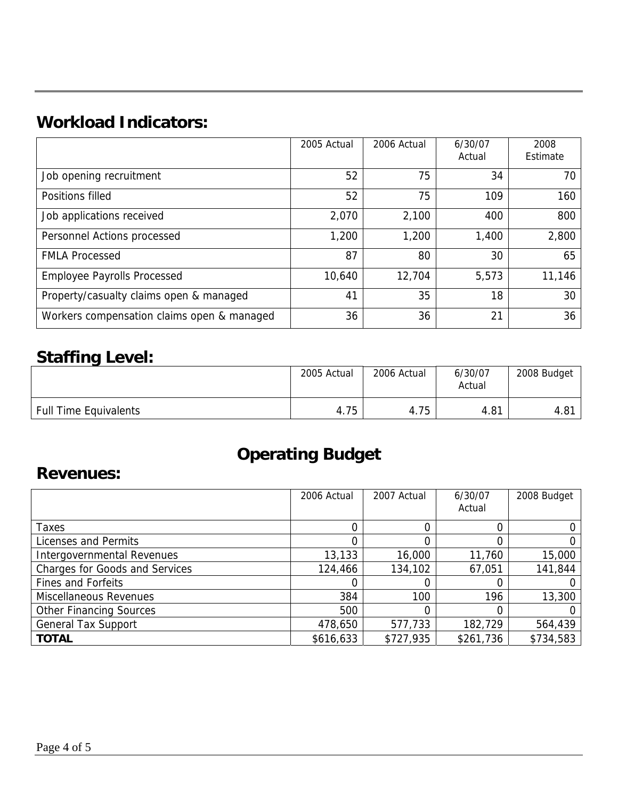# **Workload Indicators:**

|                                            | 2005 Actual | 2006 Actual | 6/30/07<br>Actual | 2008<br>Estimate |
|--------------------------------------------|-------------|-------------|-------------------|------------------|
| Job opening recruitment                    | 52          | 75          | 34                | 70               |
| Positions filled                           | 52          | 75          | 109               | 160              |
| Job applications received                  | 2,070       | 2,100       | 400               | 800              |
| Personnel Actions processed                | 1,200       | 1,200       | 1,400             | 2,800            |
| <b>FMLA Processed</b>                      | 87          | 80          | 30                | 65               |
| <b>Employee Payrolls Processed</b>         | 10,640      | 12,704      | 5,573             | 11,146           |
| Property/casualty claims open & managed    | 41          | 35          | 18                | 30               |
| Workers compensation claims open & managed | 36          | 36          | 21                | 36               |

## **Staffing Level:**

|                              | 2005 Actual | 2006 Actual | 6/30/07<br>Actual | 2008 Budget |
|------------------------------|-------------|-------------|-------------------|-------------|
| <b>Full Time Equivalents</b> | 4.75        | 4.75        | 4.81              | 4.81        |

# **Operating Budget**

#### **Revenues:**

|                                       | 2006 Actual | 2007 Actual | 6/30/07<br>Actual | 2008 Budget |
|---------------------------------------|-------------|-------------|-------------------|-------------|
| Taxes                                 |             |             |                   |             |
| Licenses and Permits                  |             | 0           |                   |             |
| Intergovernmental Revenues            | 13,133      | 16,000      | 11,760            | 15,000      |
| <b>Charges for Goods and Services</b> | 124,466     | 134,102     | 67,051            | 141,844     |
| <b>Fines and Forfeits</b>             |             |             |                   |             |
| <b>Miscellaneous Revenues</b>         | 384         | 100         | 196               | 13,300      |
| <b>Other Financing Sources</b>        | 500         | 0           |                   |             |
| <b>General Tax Support</b>            | 478,650     | 577,733     | 182,729           | 564,439     |
| <b>TOTAL</b>                          | \$616,633   | \$727,935   | \$261,736         | \$734,583   |